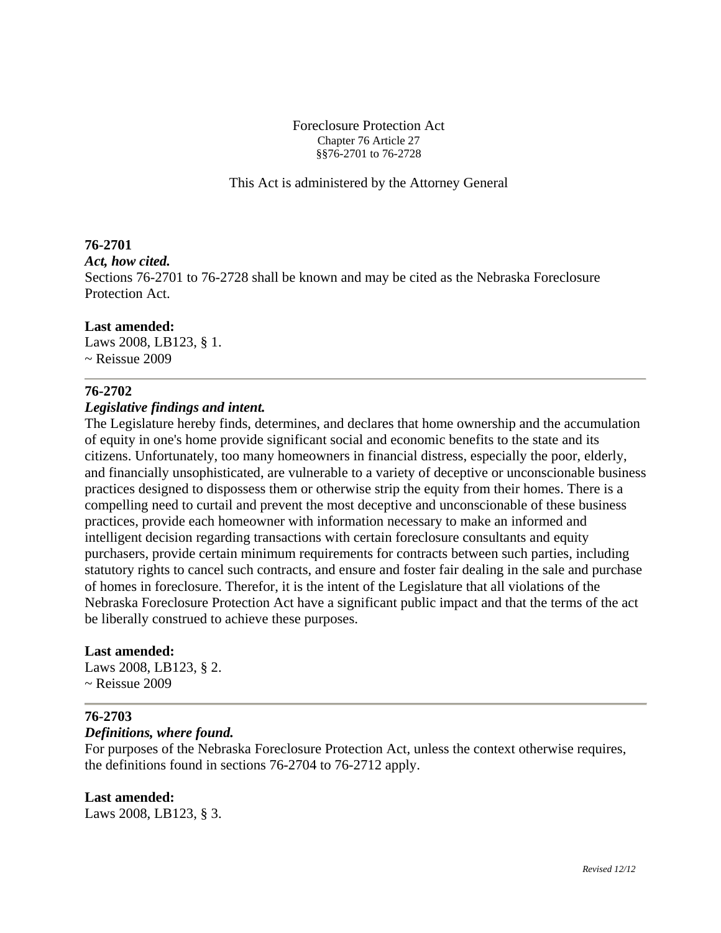#### Foreclosure Protection Act Chapter 76 Article 27 §§76-2701 to 76-2728

This Act is administered by the Attorney General

# **76-2701**

#### *Act, how cited.*

Sections 76-2701 to 76-2728 shall be known and may be cited as the Nebraska Foreclosure Protection Act.

## **Last amended:**

Laws 2008, LB123, § 1.  $\sim$  Reissue 2009

# **76-2702**

## *Legislative findings and intent.*

The Legislature hereby finds, determines, and declares that home ownership and the accumulation of equity in one's home provide significant social and economic benefits to the state and its citizens. Unfortunately, too many homeowners in financial distress, especially the poor, elderly, and financially unsophisticated, are vulnerable to a variety of deceptive or unconscionable business practices designed to dispossess them or otherwise strip the equity from their homes. There is a compelling need to curtail and prevent the most deceptive and unconscionable of these business practices, provide each homeowner with information necessary to make an informed and intelligent decision regarding transactions with certain foreclosure consultants and equity purchasers, provide certain minimum requirements for contracts between such parties, including statutory rights to cancel such contracts, and ensure and foster fair dealing in the sale and purchase of homes in foreclosure. Therefor, it is the intent of the Legislature that all violations of the Nebraska Foreclosure Protection Act have a significant public impact and that the terms of the act be liberally construed to achieve these purposes.

## **Last amended:**

Laws 2008, LB123, § 2.  $\sim$  Reissue 2009

## **76-2703**

## *Definitions, where found.*

For purposes of the Nebraska Foreclosure Protection Act, unless the context otherwise requires, the definitions found in sections 76-2704 to 76-2712 apply.

# **Last amended:**

Laws 2008, LB123, § 3.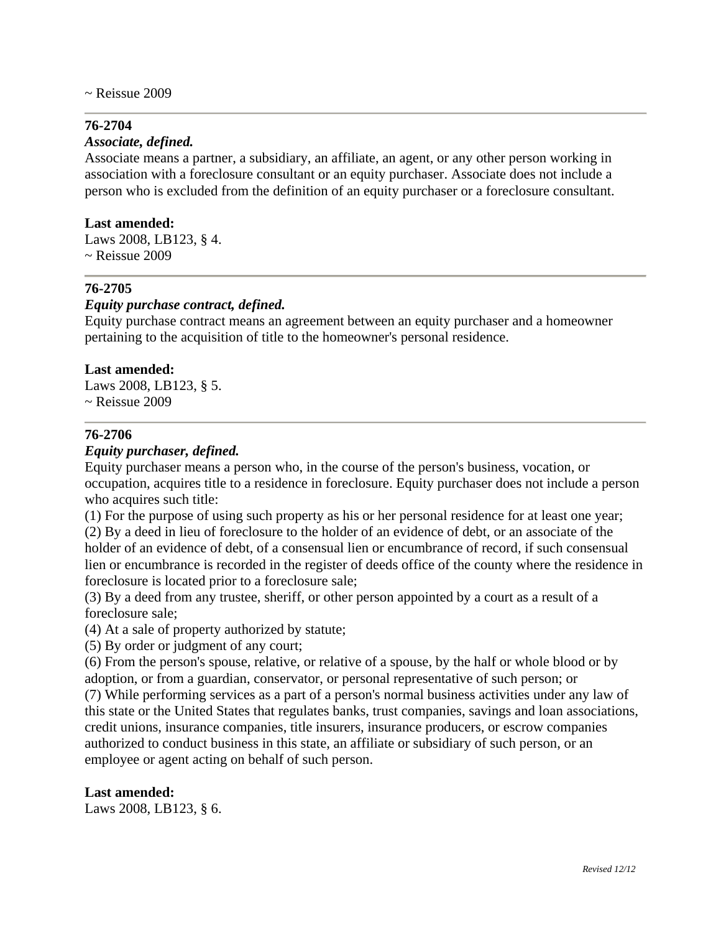$\sim$  Reissue 2009

#### **76-2704**

#### *Associate, defined.*

Associate means a partner, a subsidiary, an affiliate, an agent, or any other person working in association with a foreclosure consultant or an equity purchaser. Associate does not include a person who is excluded from the definition of an equity purchaser or a foreclosure consultant.

#### **Last amended:**

Laws 2008, LB123, § 4. ~ Reissue 2009

# **76-2705**

#### *Equity purchase contract, defined.*

Equity purchase contract means an agreement between an equity purchaser and a homeowner pertaining to the acquisition of title to the homeowner's personal residence.

#### **Last amended:**

Laws 2008, LB123, § 5.  $\sim$  Reissue 2009

#### **76-2706**

#### *Equity purchaser, defined.*

Equity purchaser means a person who, in the course of the person's business, vocation, or occupation, acquires title to a residence in foreclosure. Equity purchaser does not include a person who acquires such title:

(1) For the purpose of using such property as his or her personal residence for at least one year; (2) By a deed in lieu of foreclosure to the holder of an evidence of debt, or an associate of the holder of an evidence of debt, of a consensual lien or encumbrance of record, if such consensual lien or encumbrance is recorded in the register of deeds office of the county where the residence in foreclosure is located prior to a foreclosure sale;

(3) By a deed from any trustee, sheriff, or other person appointed by a court as a result of a foreclosure sale;

(4) At a sale of property authorized by statute;

(5) By order or judgment of any court;

(6) From the person's spouse, relative, or relative of a spouse, by the half or whole blood or by adoption, or from a guardian, conservator, or personal representative of such person; or

(7) While performing services as a part of a person's normal business activities under any law of this state or the United States that regulates banks, trust companies, savings and loan associations, credit unions, insurance companies, title insurers, insurance producers, or escrow companies authorized to conduct business in this state, an affiliate or subsidiary of such person, or an employee or agent acting on behalf of such person.

#### **Last amended:**

Laws 2008, LB123, § 6.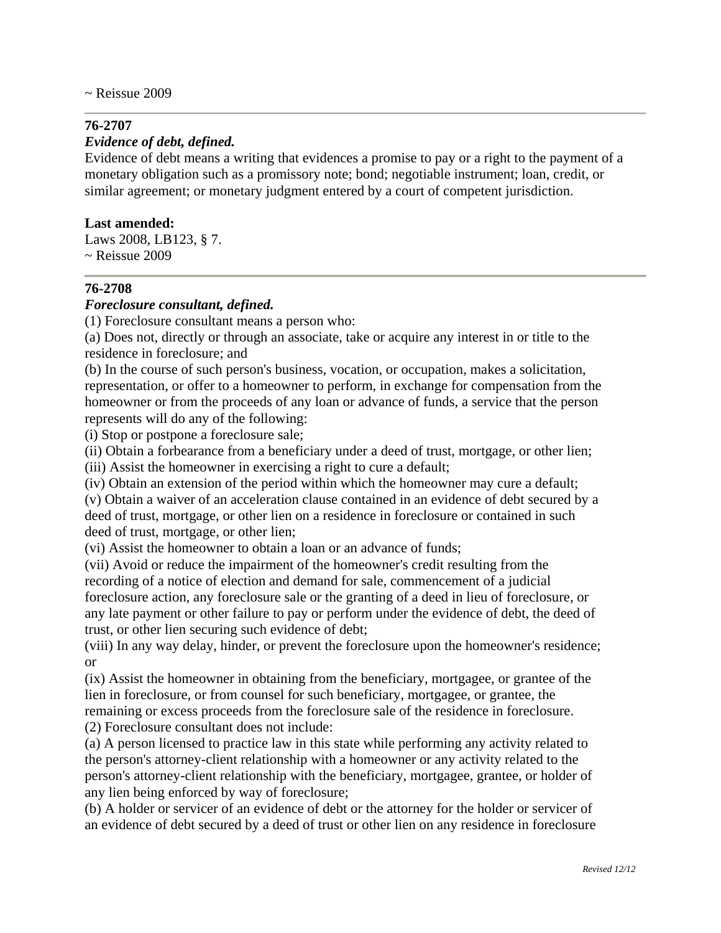# **76-2707**

#### *Evidence of debt, defined.*

Evidence of debt means a writing that evidences a promise to pay or a right to the payment of a monetary obligation such as a promissory note; bond; negotiable instrument; loan, credit, or similar agreement; or monetary judgment entered by a court of competent jurisdiction.

#### **Last amended:**

Laws 2008, LB123, § 7. ~ Reissue 2009

## **76-2708**

#### *Foreclosure consultant, defined.*

(1) Foreclosure consultant means a person who:

(a) Does not, directly or through an associate, take or acquire any interest in or title to the residence in foreclosure; and

(b) In the course of such person's business, vocation, or occupation, makes a solicitation, representation, or offer to a homeowner to perform, in exchange for compensation from the homeowner or from the proceeds of any loan or advance of funds, a service that the person represents will do any of the following:

(i) Stop or postpone a foreclosure sale;

(ii) Obtain a forbearance from a beneficiary under a deed of trust, mortgage, or other lien;

(iii) Assist the homeowner in exercising a right to cure a default;

(iv) Obtain an extension of the period within which the homeowner may cure a default;

(v) Obtain a waiver of an acceleration clause contained in an evidence of debt secured by a deed of trust, mortgage, or other lien on a residence in foreclosure or contained in such deed of trust, mortgage, or other lien;

(vi) Assist the homeowner to obtain a loan or an advance of funds;

(vii) Avoid or reduce the impairment of the homeowner's credit resulting from the recording of a notice of election and demand for sale, commencement of a judicial foreclosure action, any foreclosure sale or the granting of a deed in lieu of foreclosure, or any late payment or other failure to pay or perform under the evidence of debt, the deed of trust, or other lien securing such evidence of debt;

(viii) In any way delay, hinder, or prevent the foreclosure upon the homeowner's residence; or

(ix) Assist the homeowner in obtaining from the beneficiary, mortgagee, or grantee of the lien in foreclosure, or from counsel for such beneficiary, mortgagee, or grantee, the remaining or excess proceeds from the foreclosure sale of the residence in foreclosure. (2) Foreclosure consultant does not include:

(a) A person licensed to practice law in this state while performing any activity related to the person's attorney-client relationship with a homeowner or any activity related to the person's attorney-client relationship with the beneficiary, mortgagee, grantee, or holder of any lien being enforced by way of foreclosure;

(b) A holder or servicer of an evidence of debt or the attorney for the holder or servicer of an evidence of debt secured by a deed of trust or other lien on any residence in foreclosure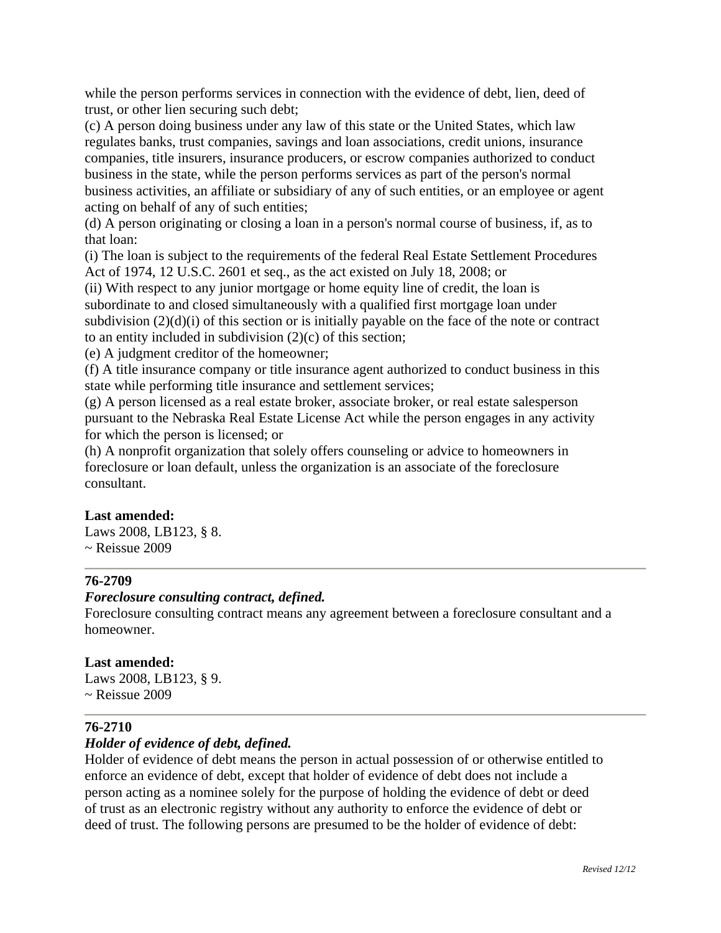while the person performs services in connection with the evidence of debt, lien, deed of trust, or other lien securing such debt;

(c) A person doing business under any law of this state or the United States, which law regulates banks, trust companies, savings and loan associations, credit unions, insurance companies, title insurers, insurance producers, or escrow companies authorized to conduct business in the state, while the person performs services as part of the person's normal business activities, an affiliate or subsidiary of any of such entities, or an employee or agent acting on behalf of any of such entities;

(d) A person originating or closing a loan in a person's normal course of business, if, as to that loan:

(i) The loan is subject to the requirements of the federal Real Estate Settlement Procedures Act of 1974, 12 U.S.C. 2601 et seq., as the act existed on July 18, 2008; or

(ii) With respect to any junior mortgage or home equity line of credit, the loan is subordinate to and closed simultaneously with a qualified first mortgage loan under subdivision  $(2)(d)(i)$  of this section or is initially payable on the face of the note or contract to an entity included in subdivision (2)(c) of this section;

(e) A judgment creditor of the homeowner;

(f) A title insurance company or title insurance agent authorized to conduct business in this state while performing title insurance and settlement services;

(g) A person licensed as a real estate broker, associate broker, or real estate salesperson pursuant to the Nebraska Real Estate License Act while the person engages in any activity for which the person is licensed; or

(h) A nonprofit organization that solely offers counseling or advice to homeowners in foreclosure or loan default, unless the organization is an associate of the foreclosure consultant.

## **Last amended:**

Laws 2008, LB123, § 8.  $\sim$  Reissue 2009

# **76-2709**

## *Foreclosure consulting contract, defined.*

Foreclosure consulting contract means any agreement between a foreclosure consultant and a homeowner.

## **Last amended:**

Laws 2008, LB123, § 9.  $\sim$  Reissue 2009

## **76-2710**

## *Holder of evidence of debt, defined.*

Holder of evidence of debt means the person in actual possession of or otherwise entitled to enforce an evidence of debt, except that holder of evidence of debt does not include a person acting as a nominee solely for the purpose of holding the evidence of debt or deed of trust as an electronic registry without any authority to enforce the evidence of debt or deed of trust. The following persons are presumed to be the holder of evidence of debt: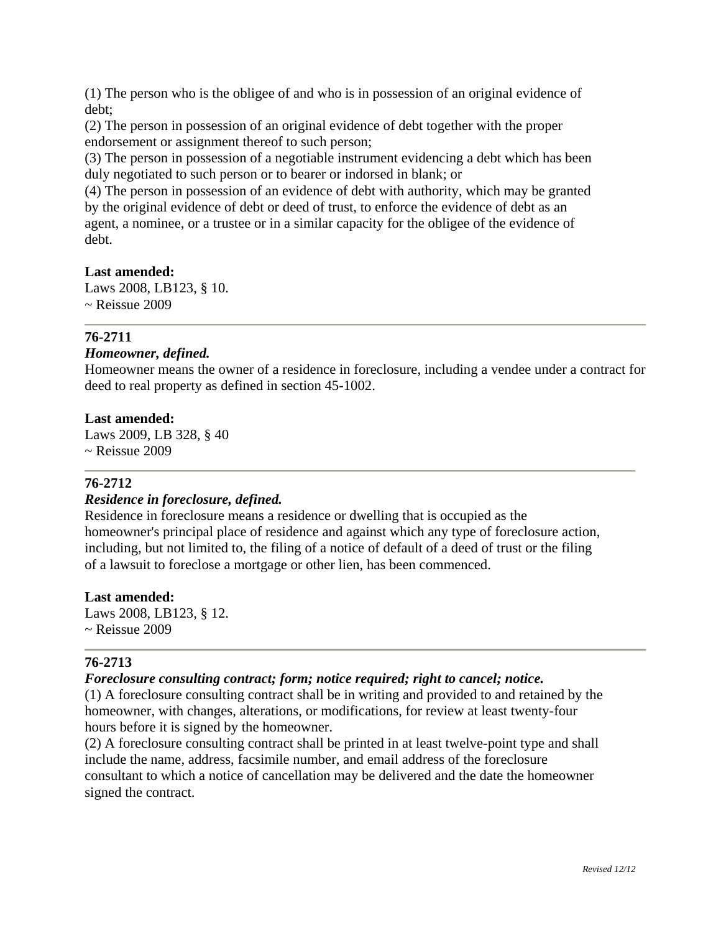(1) The person who is the obligee of and who is in possession of an original evidence of debt;

(2) The person in possession of an original evidence of debt together with the proper endorsement or assignment thereof to such person;

(3) The person in possession of a negotiable instrument evidencing a debt which has been duly negotiated to such person or to bearer or indorsed in blank; or

(4) The person in possession of an evidence of debt with authority, which may be granted by the original evidence of debt or deed of trust, to enforce the evidence of debt as an agent, a nominee, or a trustee or in a similar capacity for the obligee of the evidence of debt.

## **Last amended:**

Laws 2008, LB123, § 10. ~ Reissue 2009

## **76-2711**

#### *Homeowner, defined.*

Homeowner means the owner of a residence in foreclosure, including a vendee under a contract for deed to real property as defined in section 45-1002.

#### **Last amended:**

Laws 2009, LB 328, § 40  $\sim$  Reissue 2009

## **76-2712**

## *Residence in foreclosure, defined.*

Residence in foreclosure means a residence or dwelling that is occupied as the homeowner's principal place of residence and against which any type of foreclosure action, including, but not limited to, the filing of a notice of default of a deed of trust or the filing of a lawsuit to foreclose a mortgage or other lien, has been commenced.

#### **Last amended:**

Laws 2008, LB123, § 12. ~ Reissue 2009

## **76-2713**

## *Foreclosure consulting contract; form; notice required; right to cancel; notice.*

(1) A foreclosure consulting contract shall be in writing and provided to and retained by the homeowner, with changes, alterations, or modifications, for review at least twenty-four hours before it is signed by the homeowner.

(2) A foreclosure consulting contract shall be printed in at least twelve-point type and shall include the name, address, facsimile number, and email address of the foreclosure consultant to which a notice of cancellation may be delivered and the date the homeowner signed the contract.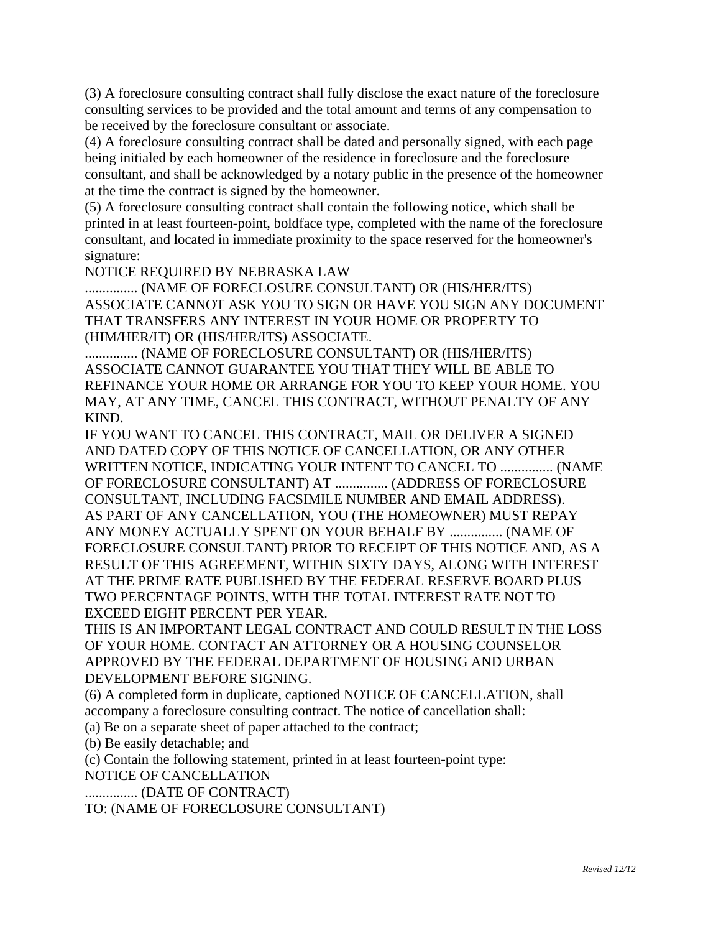(3) A foreclosure consulting contract shall fully disclose the exact nature of the foreclosure consulting services to be provided and the total amount and terms of any compensation to be received by the foreclosure consultant or associate.

(4) A foreclosure consulting contract shall be dated and personally signed, with each page being initialed by each homeowner of the residence in foreclosure and the foreclosure consultant, and shall be acknowledged by a notary public in the presence of the homeowner at the time the contract is signed by the homeowner.

(5) A foreclosure consulting contract shall contain the following notice, which shall be printed in at least fourteen-point, boldface type, completed with the name of the foreclosure consultant, and located in immediate proximity to the space reserved for the homeowner's signature:

NOTICE REQUIRED BY NEBRASKA LAW

............... (NAME OF FORECLOSURE CONSULTANT) OR (HIS/HER/ITS) ASSOCIATE CANNOT ASK YOU TO SIGN OR HAVE YOU SIGN ANY DOCUMENT THAT TRANSFERS ANY INTEREST IN YOUR HOME OR PROPERTY TO (HIM/HER/IT) OR (HIS/HER/ITS) ASSOCIATE.

............... (NAME OF FORECLOSURE CONSULTANT) OR (HIS/HER/ITS) ASSOCIATE CANNOT GUARANTEE YOU THAT THEY WILL BE ABLE TO REFINANCE YOUR HOME OR ARRANGE FOR YOU TO KEEP YOUR HOME. YOU MAY, AT ANY TIME, CANCEL THIS CONTRACT, WITHOUT PENALTY OF ANY KIND.

IF YOU WANT TO CANCEL THIS CONTRACT, MAIL OR DELIVER A SIGNED AND DATED COPY OF THIS NOTICE OF CANCELLATION, OR ANY OTHER WRITTEN NOTICE, INDICATING YOUR INTENT TO CANCEL TO ............... (NAME OF FORECLOSURE CONSULTANT) AT ............... (ADDRESS OF FORECLOSURE CONSULTANT, INCLUDING FACSIMILE NUMBER AND EMAIL ADDRESS). AS PART OF ANY CANCELLATION, YOU (THE HOMEOWNER) MUST REPAY ANY MONEY ACTUALLY SPENT ON YOUR BEHALF BY ............... (NAME OF FORECLOSURE CONSULTANT) PRIOR TO RECEIPT OF THIS NOTICE AND, AS A RESULT OF THIS AGREEMENT, WITHIN SIXTY DAYS, ALONG WITH INTEREST AT THE PRIME RATE PUBLISHED BY THE FEDERAL RESERVE BOARD PLUS TWO PERCENTAGE POINTS, WITH THE TOTAL INTEREST RATE NOT TO EXCEED EIGHT PERCENT PER YEAR.

THIS IS AN IMPORTANT LEGAL CONTRACT AND COULD RESULT IN THE LOSS OF YOUR HOME. CONTACT AN ATTORNEY OR A HOUSING COUNSELOR APPROVED BY THE FEDERAL DEPARTMENT OF HOUSING AND URBAN DEVELOPMENT BEFORE SIGNING.

(6) A completed form in duplicate, captioned NOTICE OF CANCELLATION, shall accompany a foreclosure consulting contract. The notice of cancellation shall:

(a) Be on a separate sheet of paper attached to the contract;

(b) Be easily detachable; and

(c) Contain the following statement, printed in at least fourteen-point type:

NOTICE OF CANCELLATION

............... (DATE OF CONTRACT)

TO: (NAME OF FORECLOSURE CONSULTANT)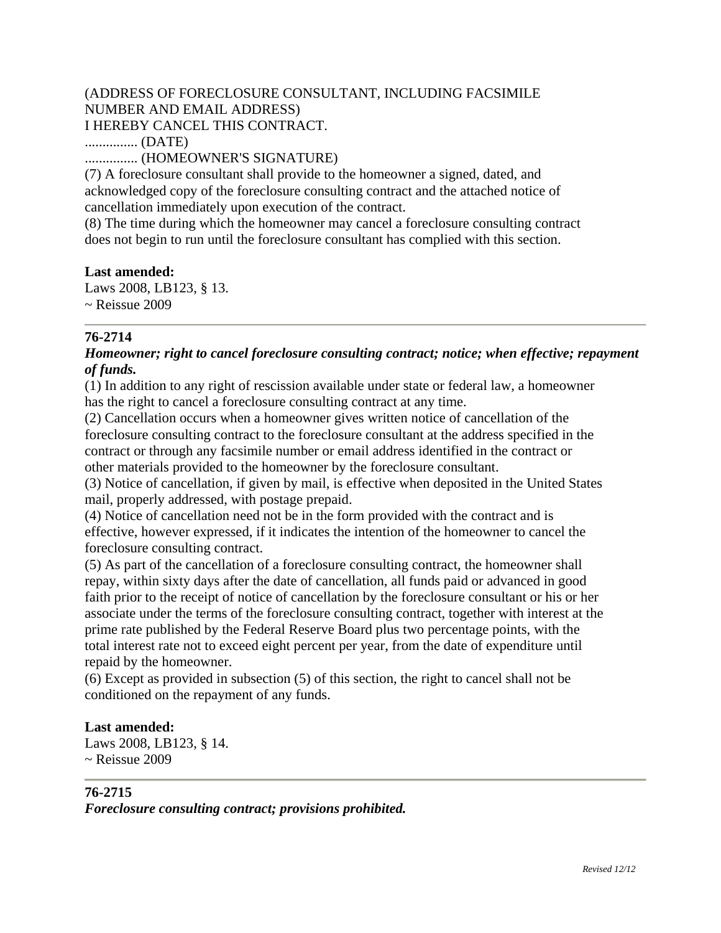# (ADDRESS OF FORECLOSURE CONSULTANT, INCLUDING FACSIMILE NUMBER AND EMAIL ADDRESS) I HEREBY CANCEL THIS CONTRACT.

............... (DATE)

............... (HOMEOWNER'S SIGNATURE)

(7) A foreclosure consultant shall provide to the homeowner a signed, dated, and acknowledged copy of the foreclosure consulting contract and the attached notice of cancellation immediately upon execution of the contract.

(8) The time during which the homeowner may cancel a foreclosure consulting contract does not begin to run until the foreclosure consultant has complied with this section.

## **Last amended:**

Laws 2008, LB123, § 13. ~ Reissue 2009

# **76-2714**

# *Homeowner; right to cancel foreclosure consulting contract; notice; when effective; repayment of funds.*

(1) In addition to any right of rescission available under state or federal law, a homeowner has the right to cancel a foreclosure consulting contract at any time.

(2) Cancellation occurs when a homeowner gives written notice of cancellation of the foreclosure consulting contract to the foreclosure consultant at the address specified in the contract or through any facsimile number or email address identified in the contract or other materials provided to the homeowner by the foreclosure consultant.

(3) Notice of cancellation, if given by mail, is effective when deposited in the United States mail, properly addressed, with postage prepaid.

(4) Notice of cancellation need not be in the form provided with the contract and is effective, however expressed, if it indicates the intention of the homeowner to cancel the foreclosure consulting contract.

(5) As part of the cancellation of a foreclosure consulting contract, the homeowner shall repay, within sixty days after the date of cancellation, all funds paid or advanced in good faith prior to the receipt of notice of cancellation by the foreclosure consultant or his or her associate under the terms of the foreclosure consulting contract, together with interest at the prime rate published by the Federal Reserve Board plus two percentage points, with the total interest rate not to exceed eight percent per year, from the date of expenditure until repaid by the homeowner.

(6) Except as provided in subsection (5) of this section, the right to cancel shall not be conditioned on the repayment of any funds.

## **Last amended:**

Laws 2008, LB123, § 14.  $\sim$  Reissue 2009

## **76-2715**

*Foreclosure consulting contract; provisions prohibited.*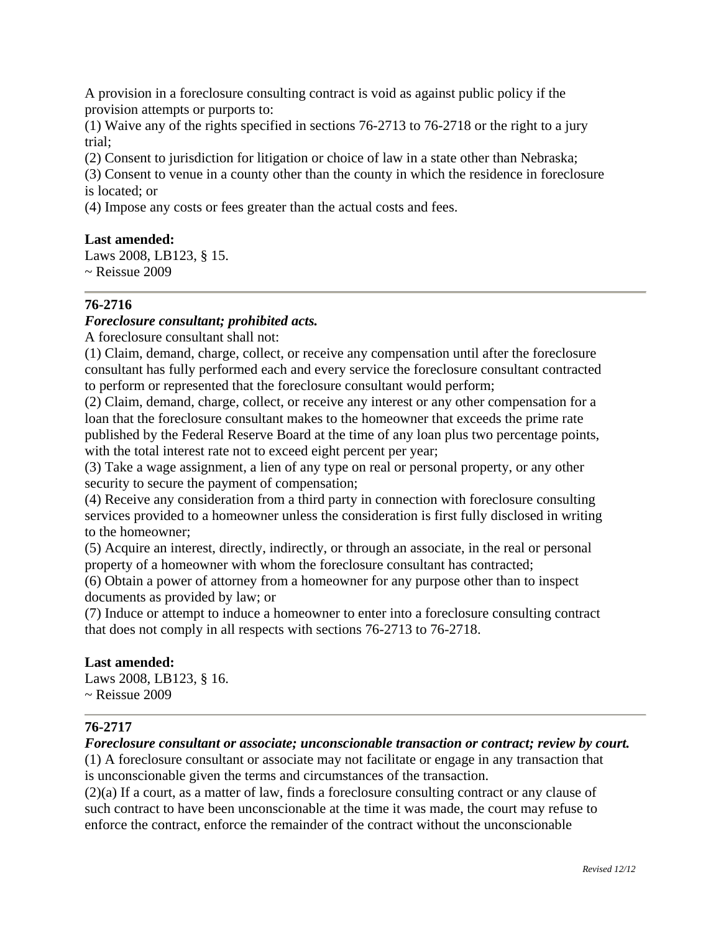A provision in a foreclosure consulting contract is void as against public policy if the provision attempts or purports to:

(1) Waive any of the rights specified in sections 76-2713 to 76-2718 or the right to a jury trial;

(2) Consent to jurisdiction for litigation or choice of law in a state other than Nebraska;

(3) Consent to venue in a county other than the county in which the residence in foreclosure is located; or

(4) Impose any costs or fees greater than the actual costs and fees.

## **Last amended:**

Laws 2008, LB123, § 15.  $\sim$  Reissue 2009

## **76-2716**

#### *Foreclosure consultant; prohibited acts.*

A foreclosure consultant shall not:

(1) Claim, demand, charge, collect, or receive any compensation until after the foreclosure consultant has fully performed each and every service the foreclosure consultant contracted to perform or represented that the foreclosure consultant would perform;

(2) Claim, demand, charge, collect, or receive any interest or any other compensation for a loan that the foreclosure consultant makes to the homeowner that exceeds the prime rate published by the Federal Reserve Board at the time of any loan plus two percentage points, with the total interest rate not to exceed eight percent per year;

(3) Take a wage assignment, a lien of any type on real or personal property, or any other security to secure the payment of compensation;

(4) Receive any consideration from a third party in connection with foreclosure consulting services provided to a homeowner unless the consideration is first fully disclosed in writing to the homeowner;

(5) Acquire an interest, directly, indirectly, or through an associate, in the real or personal property of a homeowner with whom the foreclosure consultant has contracted;

(6) Obtain a power of attorney from a homeowner for any purpose other than to inspect documents as provided by law; or

(7) Induce or attempt to induce a homeowner to enter into a foreclosure consulting contract that does not comply in all respects with sections 76-2713 to 76-2718.

#### **Last amended:**

Laws 2008, LB123, § 16.  $\sim$  Reissue 2009

## **76-2717**

## *Foreclosure consultant or associate; unconscionable transaction or contract; review by court.*

(1) A foreclosure consultant or associate may not facilitate or engage in any transaction that is unconscionable given the terms and circumstances of the transaction.

(2)(a) If a court, as a matter of law, finds a foreclosure consulting contract or any clause of such contract to have been unconscionable at the time it was made, the court may refuse to enforce the contract, enforce the remainder of the contract without the unconscionable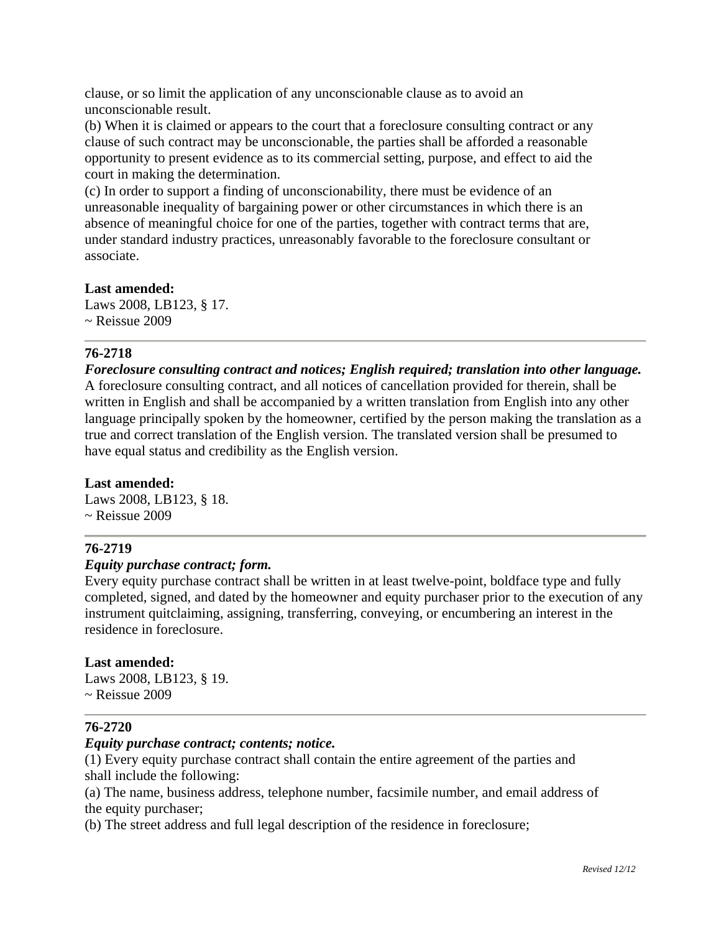clause, or so limit the application of any unconscionable clause as to avoid an unconscionable result.

(b) When it is claimed or appears to the court that a foreclosure consulting contract or any clause of such contract may be unconscionable, the parties shall be afforded a reasonable opportunity to present evidence as to its commercial setting, purpose, and effect to aid the court in making the determination.

(c) In order to support a finding of unconscionability, there must be evidence of an unreasonable inequality of bargaining power or other circumstances in which there is an absence of meaningful choice for one of the parties, together with contract terms that are, under standard industry practices, unreasonably favorable to the foreclosure consultant or associate.

#### **Last amended:**

Laws 2008, LB123, § 17.  $\sim$  Reissue 2009

## **76-2718**

*Foreclosure consulting contract and notices; English required; translation into other language.* A foreclosure consulting contract, and all notices of cancellation provided for therein, shall be written in English and shall be accompanied by a written translation from English into any other language principally spoken by the homeowner, certified by the person making the translation as a true and correct translation of the English version. The translated version shall be presumed to have equal status and credibility as the English version.

## **Last amended:**

Laws 2008, LB123, § 18.  $\sim$  Reissue 2009

## **76-2719**

## *Equity purchase contract; form.*

Every equity purchase contract shall be written in at least twelve-point, boldface type and fully completed, signed, and dated by the homeowner and equity purchaser prior to the execution of any instrument quitclaiming, assigning, transferring, conveying, or encumbering an interest in the residence in foreclosure.

#### **Last amended:**

Laws 2008, LB123, § 19.  $\sim$  Reissue 2009

## **76-2720**

#### *Equity purchase contract; contents; notice.*

(1) Every equity purchase contract shall contain the entire agreement of the parties and shall include the following:

(a) The name, business address, telephone number, facsimile number, and email address of the equity purchaser;

(b) The street address and full legal description of the residence in foreclosure;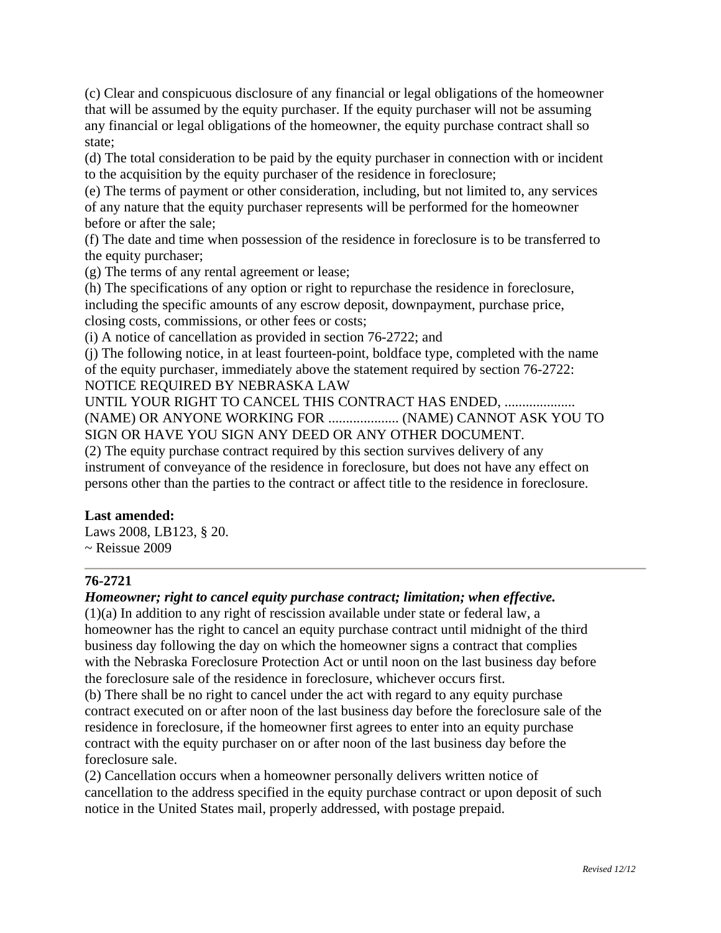(c) Clear and conspicuous disclosure of any financial or legal obligations of the homeowner that will be assumed by the equity purchaser. If the equity purchaser will not be assuming any financial or legal obligations of the homeowner, the equity purchase contract shall so state;

(d) The total consideration to be paid by the equity purchaser in connection with or incident to the acquisition by the equity purchaser of the residence in foreclosure;

(e) The terms of payment or other consideration, including, but not limited to, any services of any nature that the equity purchaser represents will be performed for the homeowner before or after the sale;

(f) The date and time when possession of the residence in foreclosure is to be transferred to the equity purchaser;

(g) The terms of any rental agreement or lease;

(h) The specifications of any option or right to repurchase the residence in foreclosure, including the specific amounts of any escrow deposit, downpayment, purchase price, closing costs, commissions, or other fees or costs;

(i) A notice of cancellation as provided in section 76-2722; and

(j) The following notice, in at least fourteen-point, boldface type, completed with the name of the equity purchaser, immediately above the statement required by section 76-2722: NOTICE REQUIRED BY NEBRASKA LAW

UNTIL YOUR RIGHT TO CANCEL THIS CONTRACT HAS ENDED, ..................... (NAME) OR ANYONE WORKING FOR .................... (NAME) CANNOT ASK YOU TO SIGN OR HAVE YOU SIGN ANY DEED OR ANY OTHER DOCUMENT.

(2) The equity purchase contract required by this section survives delivery of any instrument of conveyance of the residence in foreclosure, but does not have any effect on persons other than the parties to the contract or affect title to the residence in foreclosure.

## **Last amended:**

Laws 2008, LB123, § 20.  $\sim$  Reissue 2009

## **76-2721**

## *Homeowner; right to cancel equity purchase contract; limitation; when effective.*

(1)(a) In addition to any right of rescission available under state or federal law, a homeowner has the right to cancel an equity purchase contract until midnight of the third business day following the day on which the homeowner signs a contract that complies with the Nebraska Foreclosure Protection Act or until noon on the last business day before the foreclosure sale of the residence in foreclosure, whichever occurs first.

(b) There shall be no right to cancel under the act with regard to any equity purchase contract executed on or after noon of the last business day before the foreclosure sale of the residence in foreclosure, if the homeowner first agrees to enter into an equity purchase contract with the equity purchaser on or after noon of the last business day before the foreclosure sale.

(2) Cancellation occurs when a homeowner personally delivers written notice of cancellation to the address specified in the equity purchase contract or upon deposit of such notice in the United States mail, properly addressed, with postage prepaid.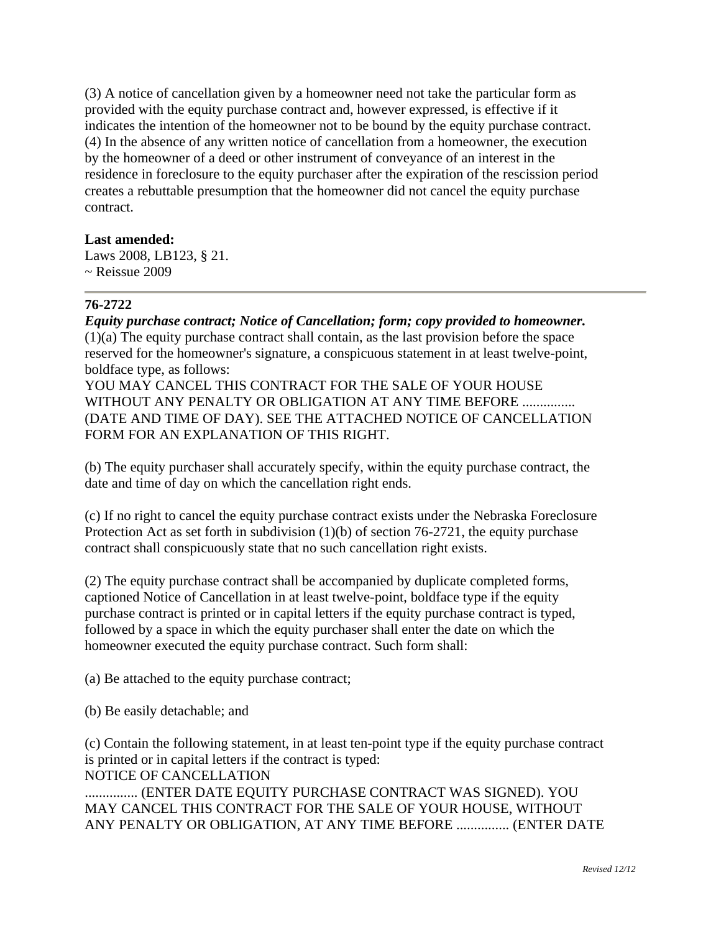(3) A notice of cancellation given by a homeowner need not take the particular form as provided with the equity purchase contract and, however expressed, is effective if it indicates the intention of the homeowner not to be bound by the equity purchase contract. (4) In the absence of any written notice of cancellation from a homeowner, the execution by the homeowner of a deed or other instrument of conveyance of an interest in the residence in foreclosure to the equity purchaser after the expiration of the rescission period creates a rebuttable presumption that the homeowner did not cancel the equity purchase contract.

## **Last amended:**

Laws 2008, LB123, § 21.  $\sim$  Reissue 2009

#### **76-2722**

*Equity purchase contract; Notice of Cancellation; form; copy provided to homeowner.* (1)(a) The equity purchase contract shall contain, as the last provision before the space reserved for the homeowner's signature, a conspicuous statement in at least twelve-point, boldface type, as follows:

YOU MAY CANCEL THIS CONTRACT FOR THE SALE OF YOUR HOUSE WITHOUT ANY PENALTY OR OBLIGATION AT ANY TIME BEFORE ................ (DATE AND TIME OF DAY). SEE THE ATTACHED NOTICE OF CANCELLATION FORM FOR AN EXPLANATION OF THIS RIGHT.

(b) The equity purchaser shall accurately specify, within the equity purchase contract, the date and time of day on which the cancellation right ends.

(c) If no right to cancel the equity purchase contract exists under the Nebraska Foreclosure Protection Act as set forth in subdivision (1)(b) of section 76-2721, the equity purchase contract shall conspicuously state that no such cancellation right exists.

(2) The equity purchase contract shall be accompanied by duplicate completed forms, captioned Notice of Cancellation in at least twelve-point, boldface type if the equity purchase contract is printed or in capital letters if the equity purchase contract is typed, followed by a space in which the equity purchaser shall enter the date on which the homeowner executed the equity purchase contract. Such form shall:

(a) Be attached to the equity purchase contract;

(b) Be easily detachable; and

(c) Contain the following statement, in at least ten-point type if the equity purchase contract is printed or in capital letters if the contract is typed: NOTICE OF CANCELLATION

............... (ENTER DATE EQUITY PURCHASE CONTRACT WAS SIGNED). YOU MAY CANCEL THIS CONTRACT FOR THE SALE OF YOUR HOUSE, WITHOUT ANY PENALTY OR OBLIGATION, AT ANY TIME BEFORE ............... (ENTER DATE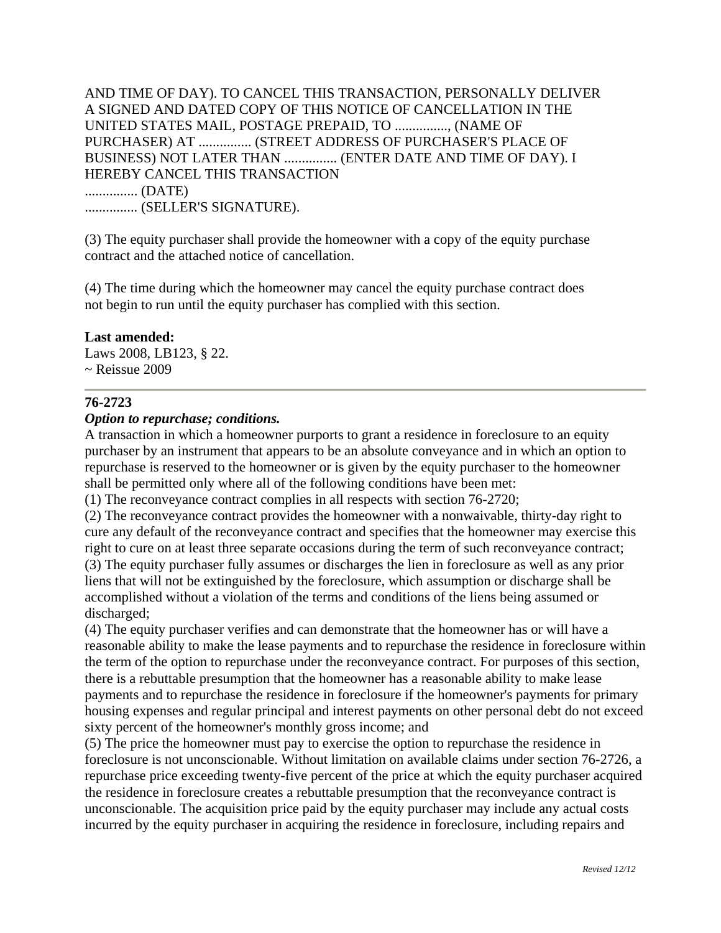AND TIME OF DAY). TO CANCEL THIS TRANSACTION, PERSONALLY DELIVER A SIGNED AND DATED COPY OF THIS NOTICE OF CANCELLATION IN THE UNITED STATES MAIL, POSTAGE PREPAID, TO ..............., (NAME OF PURCHASER) AT ............... (STREET ADDRESS OF PURCHASER'S PLACE OF BUSINESS) NOT LATER THAN ............... (ENTER DATE AND TIME OF DAY). I HEREBY CANCEL THIS TRANSACTION ............... (DATE) ............... (SELLER'S SIGNATURE).

(3) The equity purchaser shall provide the homeowner with a copy of the equity purchase contract and the attached notice of cancellation.

(4) The time during which the homeowner may cancel the equity purchase contract does not begin to run until the equity purchaser has complied with this section.

#### **Last amended:**

Laws 2008, LB123, § 22. ~ Reissue 2009

#### **76-2723**

#### *Option to repurchase; conditions.*

A transaction in which a homeowner purports to grant a residence in foreclosure to an equity purchaser by an instrument that appears to be an absolute conveyance and in which an option to repurchase is reserved to the homeowner or is given by the equity purchaser to the homeowner shall be permitted only where all of the following conditions have been met:

(1) The reconveyance contract complies in all respects with section 76-2720;

(2) The reconveyance contract provides the homeowner with a nonwaivable, thirty-day right to cure any default of the reconveyance contract and specifies that the homeowner may exercise this right to cure on at least three separate occasions during the term of such reconveyance contract; (3) The equity purchaser fully assumes or discharges the lien in foreclosure as well as any prior liens that will not be extinguished by the foreclosure, which assumption or discharge shall be accomplished without a violation of the terms and conditions of the liens being assumed or discharged;

(4) The equity purchaser verifies and can demonstrate that the homeowner has or will have a reasonable ability to make the lease payments and to repurchase the residence in foreclosure within the term of the option to repurchase under the reconveyance contract. For purposes of this section, there is a rebuttable presumption that the homeowner has a reasonable ability to make lease payments and to repurchase the residence in foreclosure if the homeowner's payments for primary housing expenses and regular principal and interest payments on other personal debt do not exceed sixty percent of the homeowner's monthly gross income; and

(5) The price the homeowner must pay to exercise the option to repurchase the residence in foreclosure is not unconscionable. Without limitation on available claims under section 76-2726, a repurchase price exceeding twenty-five percent of the price at which the equity purchaser acquired the residence in foreclosure creates a rebuttable presumption that the reconveyance contract is unconscionable. The acquisition price paid by the equity purchaser may include any actual costs incurred by the equity purchaser in acquiring the residence in foreclosure, including repairs and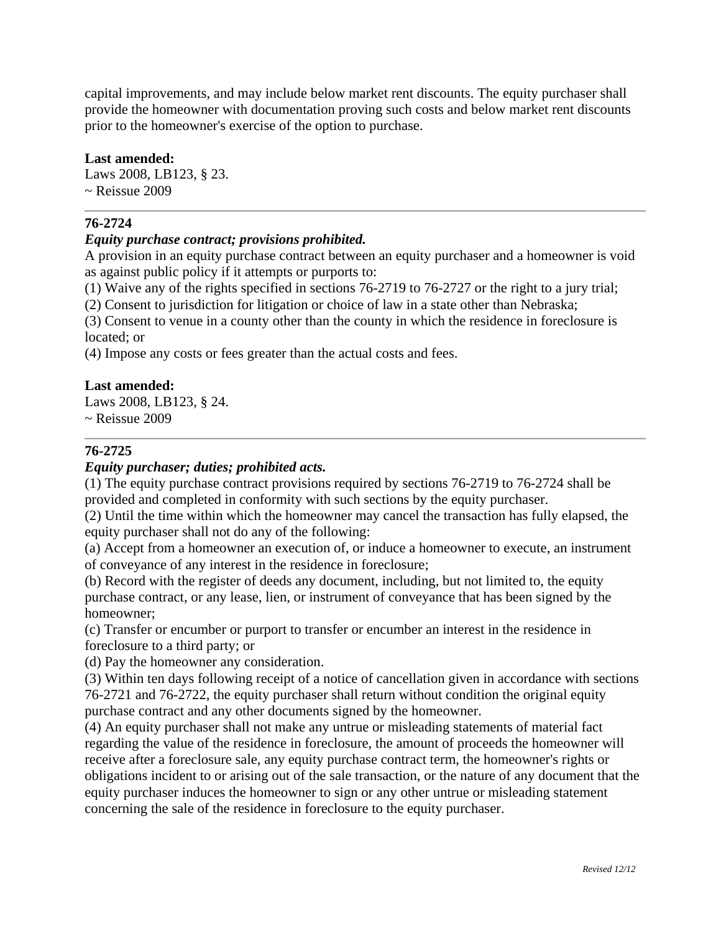capital improvements, and may include below market rent discounts. The equity purchaser shall provide the homeowner with documentation proving such costs and below market rent discounts prior to the homeowner's exercise of the option to purchase.

#### **Last amended:**

Laws 2008, LB123, § 23.  $\sim$  Reissue 2009

## **76-2724**

## *Equity purchase contract; provisions prohibited.*

A provision in an equity purchase contract between an equity purchaser and a homeowner is void as against public policy if it attempts or purports to:

(1) Waive any of the rights specified in sections 76-2719 to 76-2727 or the right to a jury trial;

(2) Consent to jurisdiction for litigation or choice of law in a state other than Nebraska;

(3) Consent to venue in a county other than the county in which the residence in foreclosure is located; or

(4) Impose any costs or fees greater than the actual costs and fees.

#### **Last amended:**

Laws 2008, LB123, § 24.  $\sim$  Reissue 2009

## **76-2725**

#### *Equity purchaser; duties; prohibited acts.*

(1) The equity purchase contract provisions required by sections 76-2719 to 76-2724 shall be provided and completed in conformity with such sections by the equity purchaser.

(2) Until the time within which the homeowner may cancel the transaction has fully elapsed, the equity purchaser shall not do any of the following:

(a) Accept from a homeowner an execution of, or induce a homeowner to execute, an instrument of conveyance of any interest in the residence in foreclosure;

(b) Record with the register of deeds any document, including, but not limited to, the equity purchase contract, or any lease, lien, or instrument of conveyance that has been signed by the homeowner;

(c) Transfer or encumber or purport to transfer or encumber an interest in the residence in foreclosure to a third party; or

(d) Pay the homeowner any consideration.

(3) Within ten days following receipt of a notice of cancellation given in accordance with sections 76-2721 and 76-2722, the equity purchaser shall return without condition the original equity purchase contract and any other documents signed by the homeowner.

(4) An equity purchaser shall not make any untrue or misleading statements of material fact regarding the value of the residence in foreclosure, the amount of proceeds the homeowner will receive after a foreclosure sale, any equity purchase contract term, the homeowner's rights or obligations incident to or arising out of the sale transaction, or the nature of any document that the equity purchaser induces the homeowner to sign or any other untrue or misleading statement concerning the sale of the residence in foreclosure to the equity purchaser.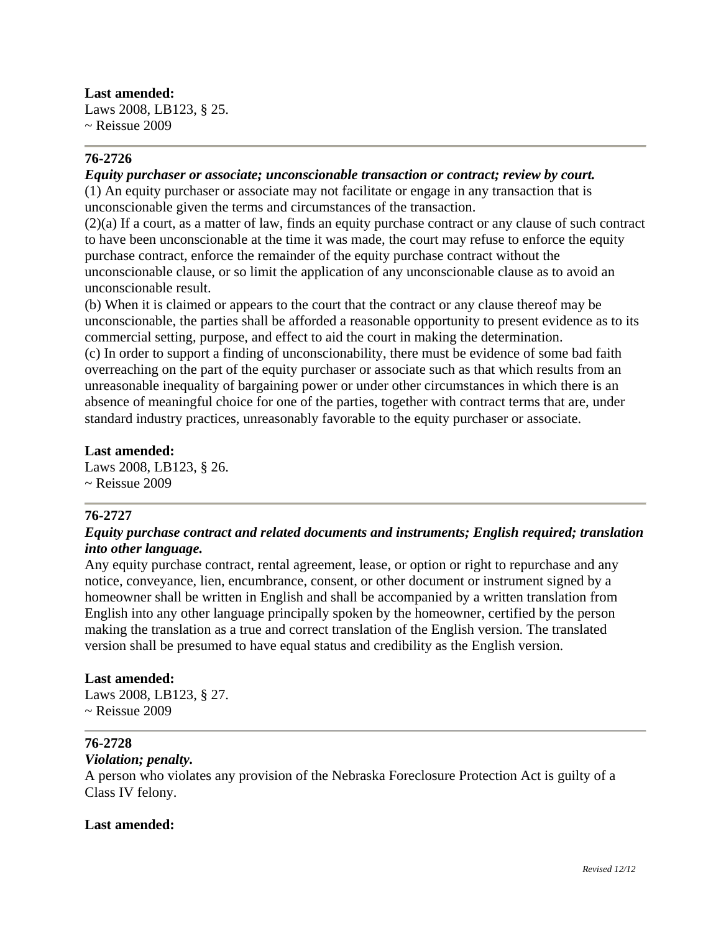**Last amended:**  Laws 2008, LB123, § 25.  $\sim$  Reissue 2009

# **76-2726**

#### *Equity purchaser or associate; unconscionable transaction or contract; review by court.*

(1) An equity purchaser or associate may not facilitate or engage in any transaction that is unconscionable given the terms and circumstances of the transaction.

(2)(a) If a court, as a matter of law, finds an equity purchase contract or any clause of such contract to have been unconscionable at the time it was made, the court may refuse to enforce the equity purchase contract, enforce the remainder of the equity purchase contract without the unconscionable clause, or so limit the application of any unconscionable clause as to avoid an unconscionable result.

(b) When it is claimed or appears to the court that the contract or any clause thereof may be unconscionable, the parties shall be afforded a reasonable opportunity to present evidence as to its commercial setting, purpose, and effect to aid the court in making the determination. (c) In order to support a finding of unconscionability, there must be evidence of some bad faith overreaching on the part of the equity purchaser or associate such as that which results from an unreasonable inequality of bargaining power or under other circumstances in which there is an absence of meaningful choice for one of the parties, together with contract terms that are, under

standard industry practices, unreasonably favorable to the equity purchaser or associate.

#### **Last amended:**

Laws 2008, LB123, § 26.  $\sim$  Reissue 2009

## **76-2727**

# *Equity purchase contract and related documents and instruments; English required; translation into other language.*

Any equity purchase contract, rental agreement, lease, or option or right to repurchase and any notice, conveyance, lien, encumbrance, consent, or other document or instrument signed by a homeowner shall be written in English and shall be accompanied by a written translation from English into any other language principally spoken by the homeowner, certified by the person making the translation as a true and correct translation of the English version. The translated version shall be presumed to have equal status and credibility as the English version.

#### **Last amended:**

Laws 2008, LB123, § 27.  $\sim$  Reissue 2009

## **76-2728**

#### *Violation; penalty.*

A person who violates any provision of the Nebraska Foreclosure Protection Act is guilty of a Class IV felony.

## **Last amended:**